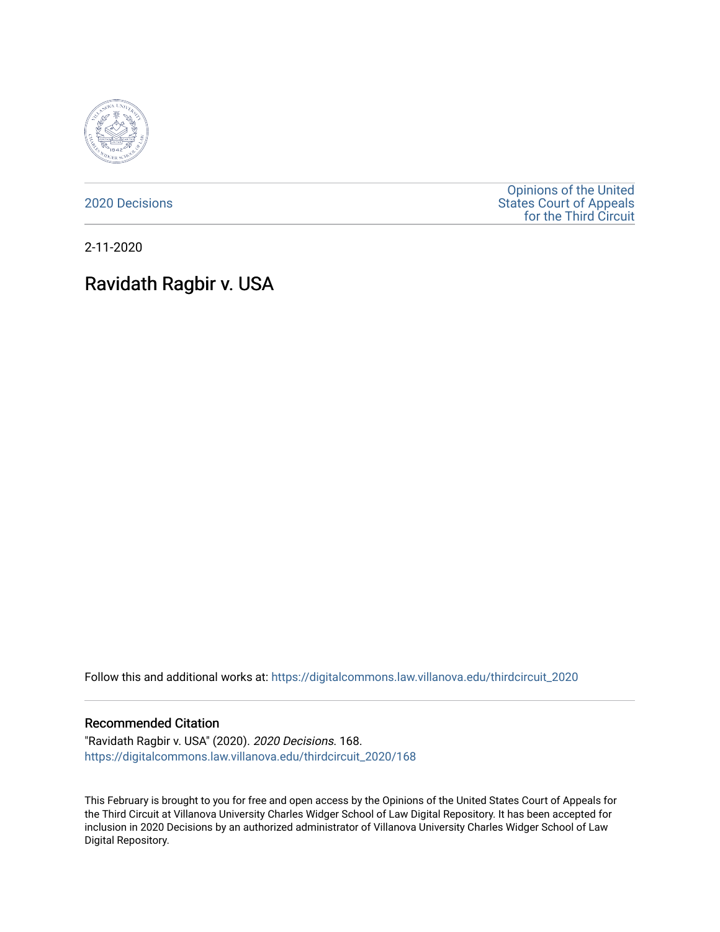

[2020 Decisions](https://digitalcommons.law.villanova.edu/thirdcircuit_2020)

[Opinions of the United](https://digitalcommons.law.villanova.edu/thirdcircuit)  [States Court of Appeals](https://digitalcommons.law.villanova.edu/thirdcircuit)  [for the Third Circuit](https://digitalcommons.law.villanova.edu/thirdcircuit) 

2-11-2020

# Ravidath Ragbir v. USA

Follow this and additional works at: [https://digitalcommons.law.villanova.edu/thirdcircuit\\_2020](https://digitalcommons.law.villanova.edu/thirdcircuit_2020?utm_source=digitalcommons.law.villanova.edu%2Fthirdcircuit_2020%2F168&utm_medium=PDF&utm_campaign=PDFCoverPages) 

#### Recommended Citation

"Ravidath Ragbir v. USA" (2020). 2020 Decisions. 168. [https://digitalcommons.law.villanova.edu/thirdcircuit\\_2020/168](https://digitalcommons.law.villanova.edu/thirdcircuit_2020/168?utm_source=digitalcommons.law.villanova.edu%2Fthirdcircuit_2020%2F168&utm_medium=PDF&utm_campaign=PDFCoverPages)

This February is brought to you for free and open access by the Opinions of the United States Court of Appeals for the Third Circuit at Villanova University Charles Widger School of Law Digital Repository. It has been accepted for inclusion in 2020 Decisions by an authorized administrator of Villanova University Charles Widger School of Law Digital Repository.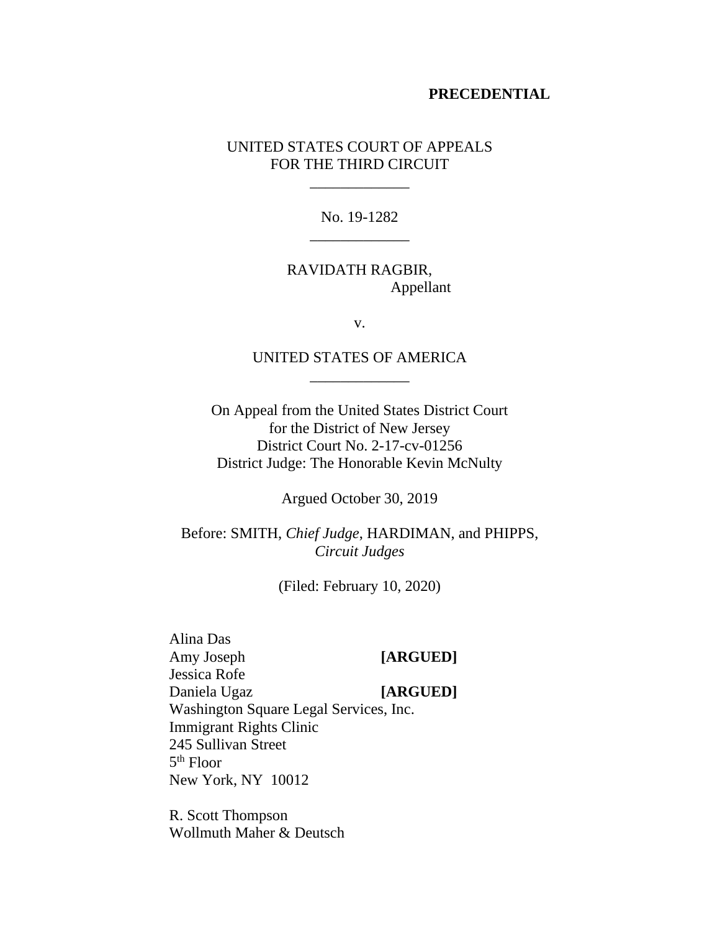#### **PRECEDENTIAL**

# UNITED STATES COURT OF APPEALS FOR THE THIRD CIRCUIT

\_\_\_\_\_\_\_\_\_\_\_\_\_

No. 19-1282 \_\_\_\_\_\_\_\_\_\_\_\_\_

# RAVIDATH RAGBIR, Appellant

v.

# UNITED STATES OF AMERICA \_\_\_\_\_\_\_\_\_\_\_\_\_

On Appeal from the United States District Court for the District of New Jersey District Court No. 2-17-cv-01256 District Judge: The Honorable Kevin McNulty

Argued October 30, 2019

Before: SMITH, *Chief Judge*, HARDIMAN, and PHIPPS, *Circuit Judges*

(Filed: February 10, 2020)

# Alina Das Amy Joseph **[ARGUED]** Jessica Rofe Daniela Ugaz **[ARGUED]** Washington Square Legal Services, Inc. Immigrant Rights Clinic 245 Sullivan Street 5th Floor New York, NY 10012

R. Scott Thompson Wollmuth Maher & Deutsch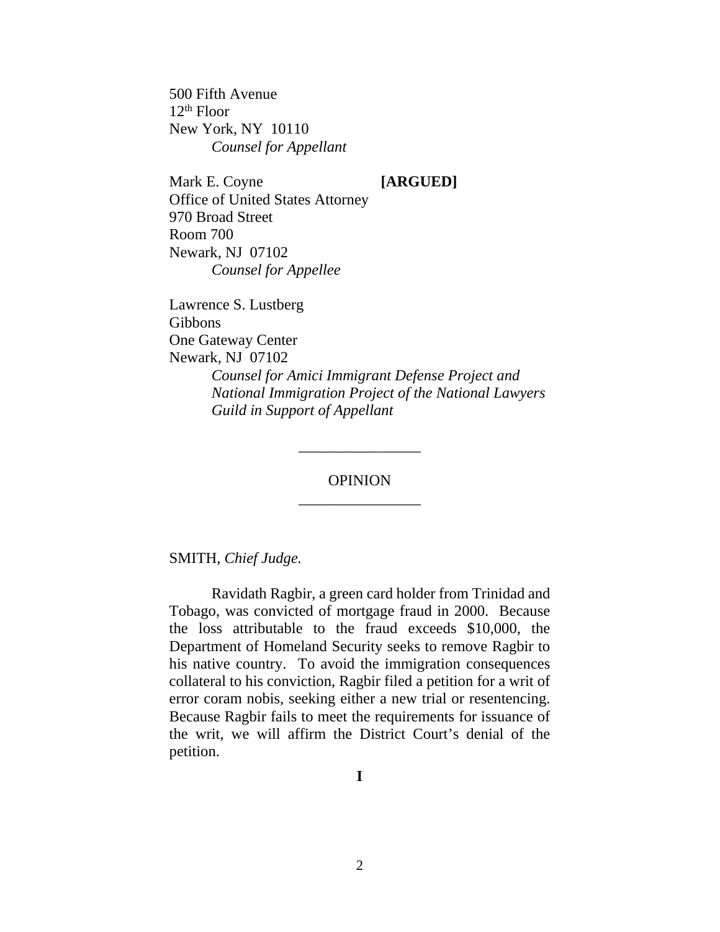500 Fifth Avenue  $12<sup>th</sup>$  Floor New York, NY 10110 *Counsel for Appellant*

Mark E. Coyne **[ARGUED]** Office of United States Attorney 970 Broad Street Room 700 Newark, NJ 07102 *Counsel for Appellee*

Lawrence S. Lustberg Gibbons One Gateway Center Newark, NJ 07102 *Counsel for Amici Immigrant Defense Project and National Immigration Project of the National Lawyers Guild in Support of Appellant*

> OPINION \_\_\_\_\_\_\_\_\_\_\_\_\_\_\_\_

> \_\_\_\_\_\_\_\_\_\_\_\_\_\_\_\_

SMITH, *Chief Judge.*

Ravidath Ragbir, a green card holder from Trinidad and Tobago, was convicted of mortgage fraud in 2000. Because the loss attributable to the fraud exceeds \$10,000, the Department of Homeland Security seeks to remove Ragbir to his native country. To avoid the immigration consequences collateral to his conviction, Ragbir filed a petition for a writ of error coram nobis, seeking either a new trial or resentencing. Because Ragbir fails to meet the requirements for issuance of the writ, we will affirm the District Court's denial of the petition.

**I**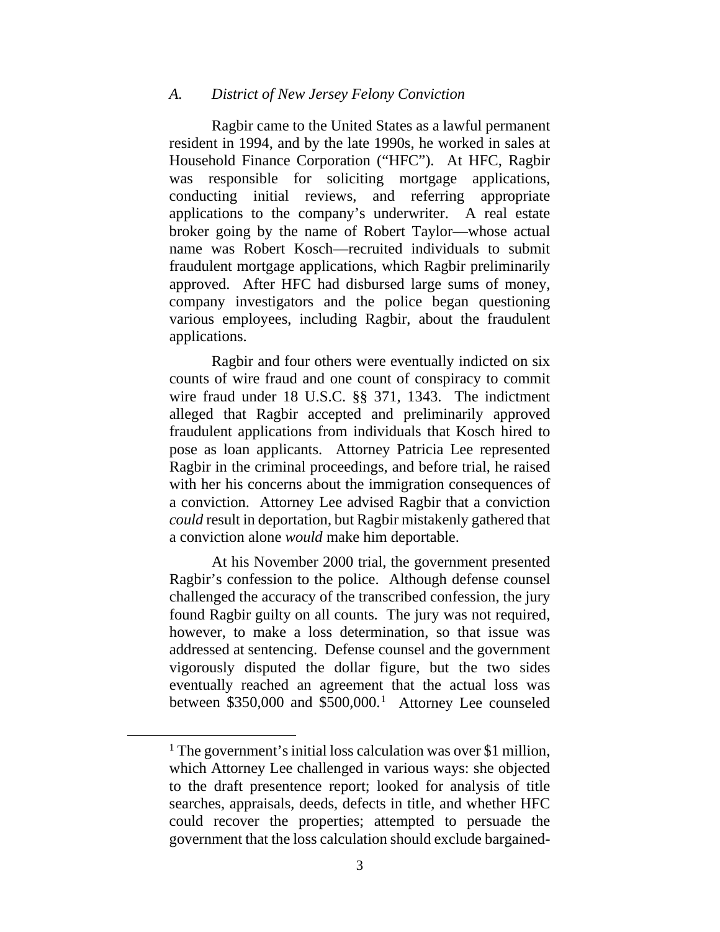#### *A. District of New Jersey Felony Conviction*

Ragbir came to the United States as a lawful permanent resident in 1994, and by the late 1990s, he worked in sales at Household Finance Corporation ("HFC"). At HFC, Ragbir was responsible for soliciting mortgage applications, conducting initial reviews, and referring appropriate applications to the company's underwriter. A real estate broker going by the name of Robert Taylor—whose actual name was Robert Kosch—recruited individuals to submit fraudulent mortgage applications, which Ragbir preliminarily approved. After HFC had disbursed large sums of money, company investigators and the police began questioning various employees, including Ragbir, about the fraudulent applications.

Ragbir and four others were eventually indicted on six counts of wire fraud and one count of conspiracy to commit wire fraud under 18 U.S.C. §§ 371, 1343. The indictment alleged that Ragbir accepted and preliminarily approved fraudulent applications from individuals that Kosch hired to pose as loan applicants. Attorney Patricia Lee represented Ragbir in the criminal proceedings, and before trial, he raised with her his concerns about the immigration consequences of a conviction. Attorney Lee advised Ragbir that a conviction *could* result in deportation, but Ragbir mistakenly gathered that a conviction alone *would* make him deportable.

At his November 2000 trial, the government presented Ragbir's confession to the police. Although defense counsel challenged the accuracy of the transcribed confession, the jury found Ragbir guilty on all counts. The jury was not required, however, to make a loss determination, so that issue was addressed at sentencing. Defense counsel and the government vigorously disputed the dollar figure, but the two sides eventually reached an agreement that the actual loss was between \$350,000 and \$500,000.<sup>1</sup> Attorney Lee counseled

<sup>&</sup>lt;sup>1</sup> The government's initial loss calculation was over \$1 million, which Attorney Lee challenged in various ways: she objected to the draft presentence report; looked for analysis of title searches, appraisals, deeds, defects in title, and whether HFC could recover the properties; attempted to persuade the government that the loss calculation should exclude bargained-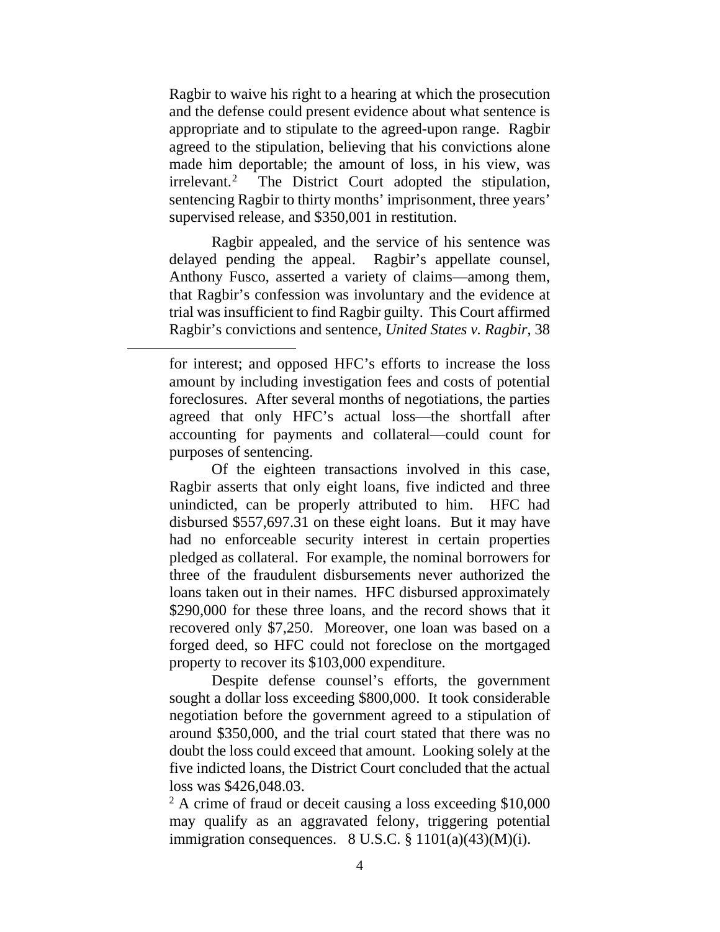Ragbir to waive his right to a hearing at which the prosecution and the defense could present evidence about what sentence is appropriate and to stipulate to the agreed-upon range. Ragbir agreed to the stipulation, believing that his convictions alone made him deportable; the amount of loss, in his view, was irrelevant.2 The District Court adopted the stipulation, sentencing Ragbir to thirty months' imprisonment, three years' supervised release, and \$350,001 in restitution.

Ragbir appealed, and the service of his sentence was delayed pending the appeal. Ragbir's appellate counsel, Anthony Fusco, asserted a variety of claims—among them, that Ragbir's confession was involuntary and the evidence at trial was insufficient to find Ragbir guilty. This Court affirmed Ragbir's convictions and sentence, *United States v. Ragbir*, 38

 $\overline{a}$ 

Of the eighteen transactions involved in this case, Ragbir asserts that only eight loans, five indicted and three unindicted, can be properly attributed to him. HFC had disbursed \$557,697.31 on these eight loans. But it may have had no enforceable security interest in certain properties pledged as collateral. For example, the nominal borrowers for three of the fraudulent disbursements never authorized the loans taken out in their names. HFC disbursed approximately \$290,000 for these three loans, and the record shows that it recovered only \$7,250. Moreover, one loan was based on a forged deed, so HFC could not foreclose on the mortgaged property to recover its \$103,000 expenditure.

Despite defense counsel's efforts, the government sought a dollar loss exceeding \$800,000. It took considerable negotiation before the government agreed to a stipulation of around \$350,000, and the trial court stated that there was no doubt the loss could exceed that amount. Looking solely at the five indicted loans, the District Court concluded that the actual loss was \$426,048.03.

<sup>2</sup> A crime of fraud or deceit causing a loss exceeding \$10,000 may qualify as an aggravated felony, triggering potential immigration consequences.  $8 \text{ U.S.C.} \frac{8}{9} \frac{1101(a)(43)(M)(i)}{i}$ .

for interest; and opposed HFC's efforts to increase the loss amount by including investigation fees and costs of potential foreclosures. After several months of negotiations, the parties agreed that only HFC's actual loss—the shortfall after accounting for payments and collateral—could count for purposes of sentencing.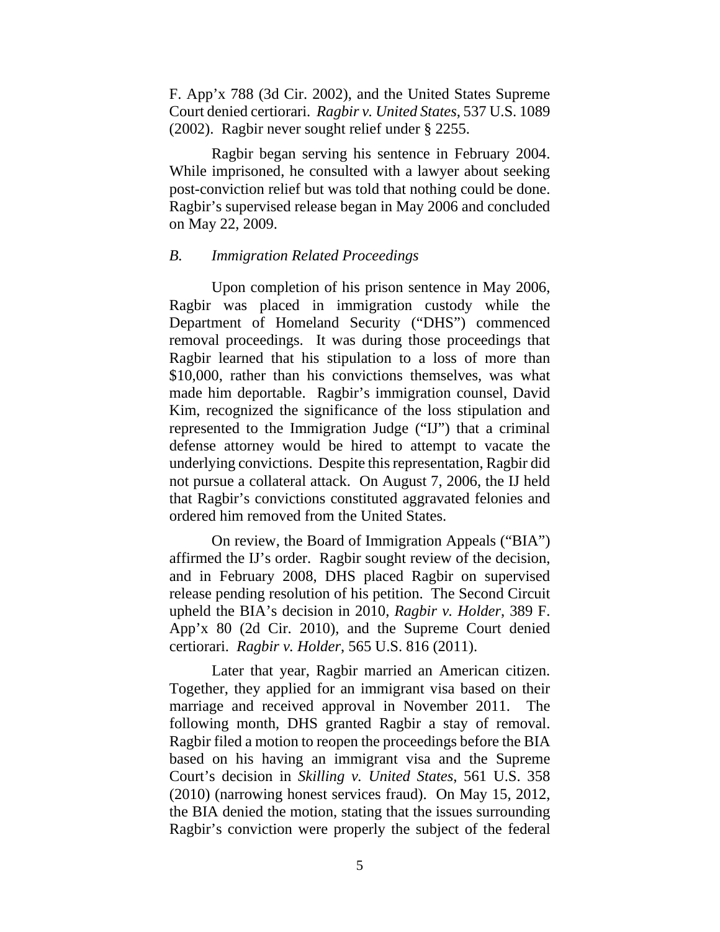F. App'x 788 (3d Cir. 2002), and the United States Supreme Court denied certiorari. *Ragbir v. United States*, 537 U.S. 1089 (2002). Ragbir never sought relief under § 2255.

Ragbir began serving his sentence in February 2004. While imprisoned, he consulted with a lawyer about seeking post-conviction relief but was told that nothing could be done. Ragbir's supervised release began in May 2006 and concluded on May 22, 2009.

#### *B. Immigration Related Proceedings*

Upon completion of his prison sentence in May 2006, Ragbir was placed in immigration custody while the Department of Homeland Security ("DHS") commenced removal proceedings. It was during those proceedings that Ragbir learned that his stipulation to a loss of more than \$10,000, rather than his convictions themselves, was what made him deportable. Ragbir's immigration counsel, David Kim, recognized the significance of the loss stipulation and represented to the Immigration Judge ("IJ") that a criminal defense attorney would be hired to attempt to vacate the underlying convictions. Despite this representation, Ragbir did not pursue a collateral attack. On August 7, 2006, the IJ held that Ragbir's convictions constituted aggravated felonies and ordered him removed from the United States.

On review, the Board of Immigration Appeals ("BIA") affirmed the IJ's order. Ragbir sought review of the decision, and in February 2008, DHS placed Ragbir on supervised release pending resolution of his petition. The Second Circuit upheld the BIA's decision in 2010, *Ragbir v. Holder*, 389 F. App'x 80 (2d Cir. 2010), and the Supreme Court denied certiorari. *Ragbir v. Holder*, 565 U.S. 816 (2011).

Later that year, Ragbir married an American citizen. Together, they applied for an immigrant visa based on their marriage and received approval in November 2011. The following month, DHS granted Ragbir a stay of removal. Ragbir filed a motion to reopen the proceedings before the BIA based on his having an immigrant visa and the Supreme Court's decision in *Skilling v. United States*, 561 U.S. 358 (2010) (narrowing honest services fraud). On May 15, 2012, the BIA denied the motion, stating that the issues surrounding Ragbir's conviction were properly the subject of the federal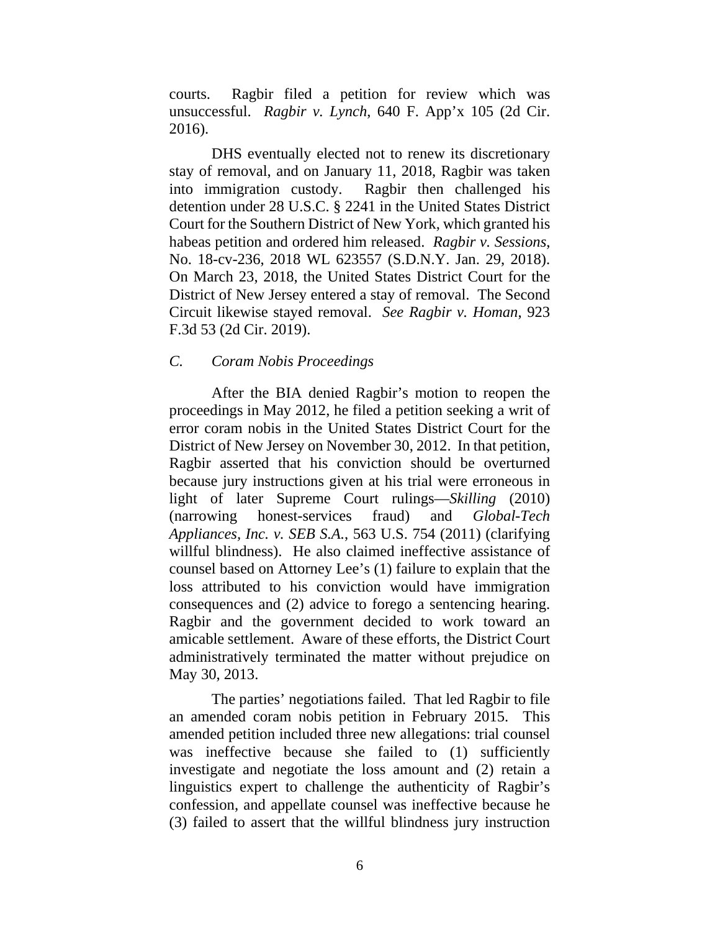courts. Ragbir filed a petition for review which was unsuccessful. *Ragbir v. Lynch*, 640 F. App'x 105 (2d Cir. 2016).

DHS eventually elected not to renew its discretionary stay of removal, and on January 11, 2018, Ragbir was taken into immigration custody. Ragbir then challenged his detention under 28 U.S.C. § 2241 in the United States District Court for the Southern District of New York, which granted his habeas petition and ordered him released. *Ragbir v. Sessions*, No. 18-cv-236, 2018 WL 623557 (S.D.N.Y. Jan. 29, 2018). On March 23, 2018, the United States District Court for the District of New Jersey entered a stay of removal. The Second Circuit likewise stayed removal. *See Ragbir v. Homan*, 923 F.3d 53 (2d Cir. 2019).

## *C. Coram Nobis Proceedings*

After the BIA denied Ragbir's motion to reopen the proceedings in May 2012, he filed a petition seeking a writ of error coram nobis in the United States District Court for the District of New Jersey on November 30, 2012. In that petition, Ragbir asserted that his conviction should be overturned because jury instructions given at his trial were erroneous in light of later Supreme Court rulings—*Skilling* (2010) (narrowing honest-services fraud) and *Global-Tech Appliances, Inc. v. SEB S.A.*, 563 U.S. 754 (2011) (clarifying willful blindness). He also claimed ineffective assistance of counsel based on Attorney Lee's (1) failure to explain that the loss attributed to his conviction would have immigration consequences and (2) advice to forego a sentencing hearing. Ragbir and the government decided to work toward an amicable settlement. Aware of these efforts, the District Court administratively terminated the matter without prejudice on May 30, 2013.

The parties' negotiations failed. That led Ragbir to file an amended coram nobis petition in February 2015. This amended petition included three new allegations: trial counsel was ineffective because she failed to (1) sufficiently investigate and negotiate the loss amount and (2) retain a linguistics expert to challenge the authenticity of Ragbir's confession, and appellate counsel was ineffective because he (3) failed to assert that the willful blindness jury instruction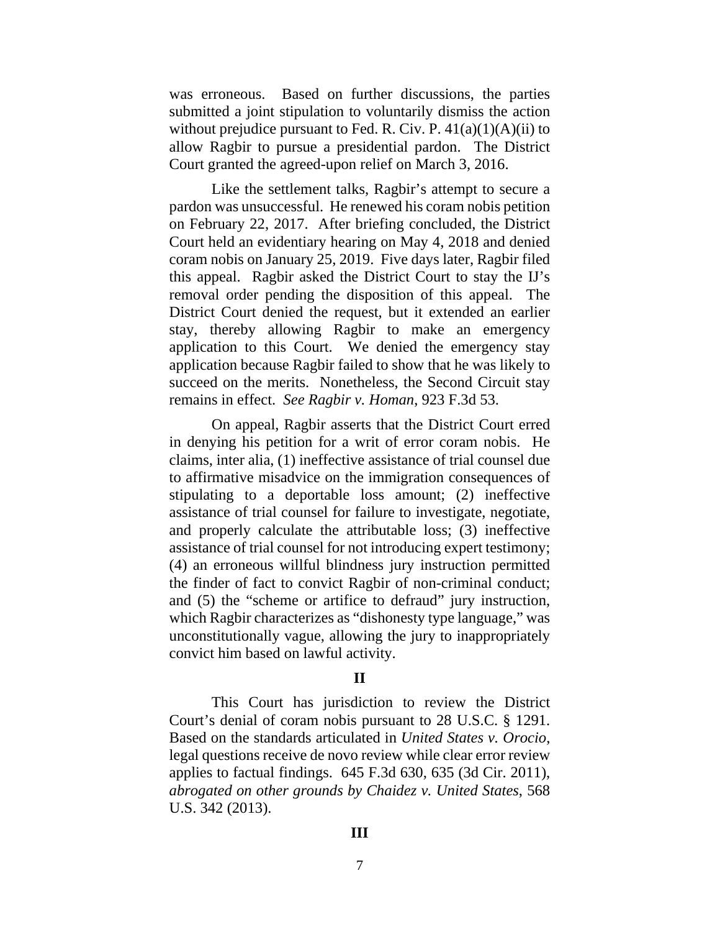was erroneous. Based on further discussions, the parties submitted a joint stipulation to voluntarily dismiss the action without prejudice pursuant to Fed. R. Civ. P.  $41(a)(1)(A)(ii)$  to allow Ragbir to pursue a presidential pardon. The District Court granted the agreed-upon relief on March 3, 2016.

Like the settlement talks, Ragbir's attempt to secure a pardon was unsuccessful. He renewed his coram nobis petition on February 22, 2017. After briefing concluded, the District Court held an evidentiary hearing on May 4, 2018 and denied coram nobis on January 25, 2019. Five days later, Ragbir filed this appeal. Ragbir asked the District Court to stay the IJ's removal order pending the disposition of this appeal. The District Court denied the request, but it extended an earlier stay, thereby allowing Ragbir to make an emergency application to this Court. We denied the emergency stay application because Ragbir failed to show that he was likely to succeed on the merits. Nonetheless, the Second Circuit stay remains in effect. *See Ragbir v. Homan*, 923 F.3d 53.

On appeal, Ragbir asserts that the District Court erred in denying his petition for a writ of error coram nobis. He claims, inter alia, (1) ineffective assistance of trial counsel due to affirmative misadvice on the immigration consequences of stipulating to a deportable loss amount; (2) ineffective assistance of trial counsel for failure to investigate, negotiate, and properly calculate the attributable loss; (3) ineffective assistance of trial counsel for not introducing expert testimony; (4) an erroneous willful blindness jury instruction permitted the finder of fact to convict Ragbir of non-criminal conduct; and (5) the "scheme or artifice to defraud" jury instruction, which Ragbir characterizes as "dishonesty type language," was unconstitutionally vague, allowing the jury to inappropriately convict him based on lawful activity.

#### **II**

This Court has jurisdiction to review the District Court's denial of coram nobis pursuant to 28 U.S.C. § 1291. Based on the standards articulated in *United States v. Orocio*, legal questions receive de novo review while clear error review applies to factual findings. 645 F.3d 630, 635 (3d Cir. 2011), *abrogated on other grounds by Chaidez v. United States*, 568 U.S. 342 (2013).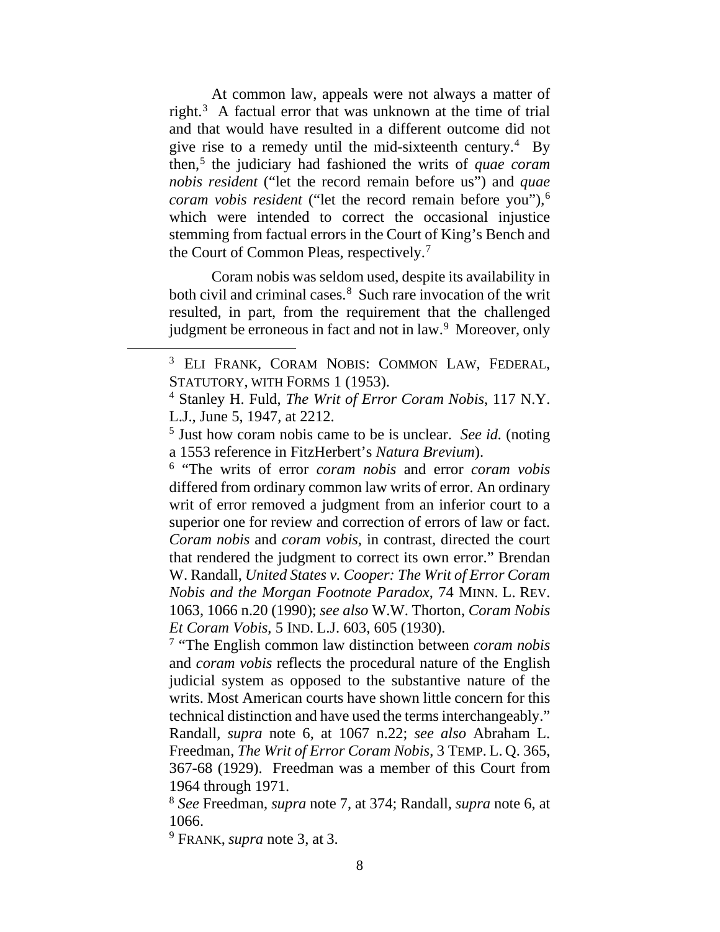At common law, appeals were not always a matter of right.3 A factual error that was unknown at the time of trial and that would have resulted in a different outcome did not give rise to a remedy until the mid-sixteenth century. 4 By then, <sup>5</sup> the judiciary had fashioned the writs of *quae coram nobis resident* ("let the record remain before us") and *quae coram vobis resident* ("let the record remain before you"), 6 which were intended to correct the occasional injustice stemming from factual errors in the Court of King's Bench and the Court of Common Pleas, respectively. 7

Coram nobis was seldom used, despite its availability in both civil and criminal cases.<sup>8</sup> Such rare invocation of the writ resulted, in part, from the requirement that the challenged judgment be erroneous in fact and not in law.<sup>9</sup> Moreover, only

<sup>6</sup> "The writs of error *coram nobis* and error *coram vobis* differed from ordinary common law writs of error. An ordinary writ of error removed a judgment from an inferior court to a superior one for review and correction of errors of law or fact. *Coram nobis* and *coram vobis*, in contrast, directed the court that rendered the judgment to correct its own error." Brendan W. Randall, *United States v. Cooper: The Writ of Error Coram Nobis and the Morgan Footnote Paradox*, 74 MINN. L. REV. 1063, 1066 n.20 (1990); *see also* W.W. Thorton, *Coram Nobis Et Coram Vobis*, 5 IND. L.J. 603, 605 (1930).

<sup>7</sup> "The English common law distinction between *coram nobis* and *coram vobis* reflects the procedural nature of the English judicial system as opposed to the substantive nature of the writs. Most American courts have shown little concern for this technical distinction and have used the terms interchangeably." Randall, *supra* note 6, at 1067 n.22; *see also* Abraham L. Freedman, *The Writ of Error Coram Nobis*, 3 TEMP. L. Q. 365, 367-68 (1929). Freedman was a member of this Court from 1964 through 1971.

<sup>8</sup> *See* Freedman, *supra* note 7, at 374; Randall, *supra* note 6, at 1066.

<sup>9</sup> FRANK, *supra* note 3, at 3.

 <sup>3</sup> ELI FRANK, CORAM NOBIS: COMMON LAW, FEDERAL, STATUTORY, WITH FORMS 1 (1953).

<sup>4</sup> Stanley H. Fuld, *The Writ of Error Coram Nobis*, 117 N.Y. L.J., June 5, 1947, at 2212.

<sup>5</sup> Just how coram nobis came to be is unclear. *See id.* (noting a 1553 reference in FitzHerbert's *Natura Brevium*).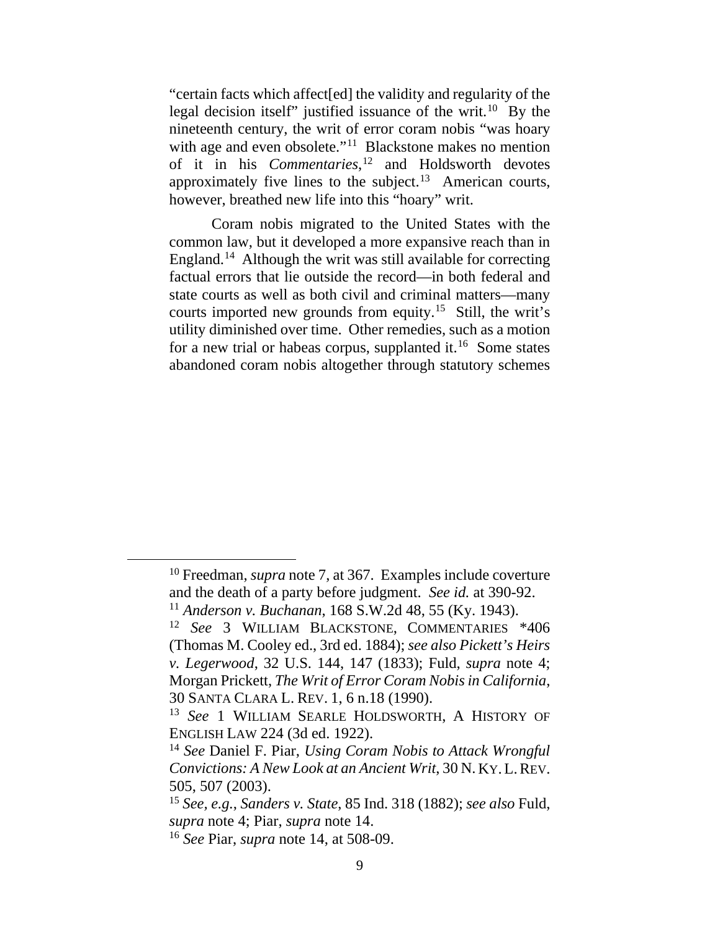"certain facts which affect[ed] the validity and regularity of the legal decision itself" justified issuance of the writ. $^{10}$  By the nineteenth century, the writ of error coram nobis "was hoary with age and even obsolete."<sup>11</sup> Blackstone makes no mention of it in his *Commentaries*, <sup>12</sup> and Holdsworth devotes approximately five lines to the subject.<sup>13</sup> American courts, however, breathed new life into this "hoary" writ.

Coram nobis migrated to the United States with the common law, but it developed a more expansive reach than in England.<sup>14</sup> Although the writ was still available for correcting factual errors that lie outside the record—in both federal and state courts as well as both civil and criminal matters—many courts imported new grounds from equity.15 Still, the writ's utility diminished over time. Other remedies, such as a motion for a new trial or habeas corpus, supplanted it. 16 Some states abandoned coram nobis altogether through statutory schemes

 <sup>10</sup> Freedman, *supra* note 7, at 367. Examples include coverture and the death of a party before judgment. *See id.* at 390-92.

<sup>11</sup> *Anderson v. Buchanan*, 168 S.W.2d 48, 55 (Ky. 1943).

<sup>12</sup> *See* 3 WILLIAM BLACKSTONE, COMMENTARIES \*406 (Thomas M. Cooley ed., 3rd ed. 1884); *see also Pickett's Heirs v. Legerwood*, 32 U.S. 144, 147 (1833); Fuld, *supra* note 4; Morgan Prickett, *The Writ of Error Coram Nobis in California*, 30 SANTA CLARA L. REV. 1, 6 n.18 (1990).

<sup>13</sup> *See* 1 WILLIAM SEARLE HOLDSWORTH, A HISTORY OF ENGLISH LAW 224 (3d ed. 1922).

<sup>14</sup> *See* Daniel F. Piar, *Using Coram Nobis to Attack Wrongful Convictions: A New Look at an Ancient Writ*, 30 N. KY.L.REV. 505, 507 (2003).

<sup>15</sup> *See, e.g.*, *Sanders v. State*, 85 Ind. 318 (1882); *see also* Fuld, *supra* note 4; Piar, *supra* note 14.

<sup>16</sup> *See* Piar, *supra* note 14, at 508-09.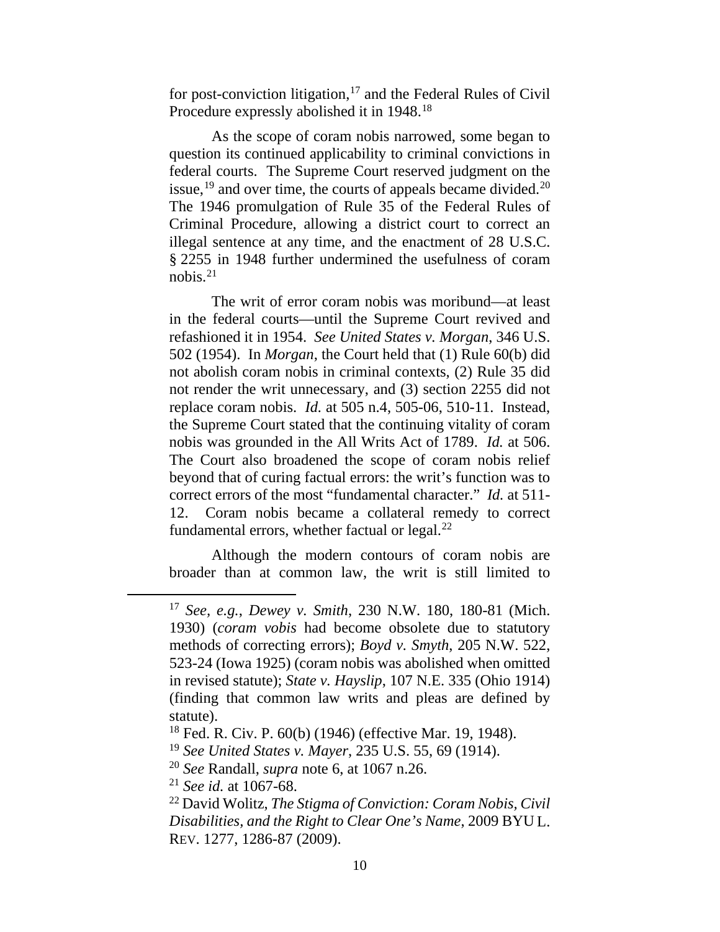for post-conviction litigation, <sup>17</sup> and the Federal Rules of Civil Procedure expressly abolished it in 1948.<sup>18</sup>

As the scope of coram nobis narrowed, some began to question its continued applicability to criminal convictions in federal courts. The Supreme Court reserved judgment on the issue,  $^{19}$  and over time, the courts of appeals became divided.<sup>20</sup> The 1946 promulgation of Rule 35 of the Federal Rules of Criminal Procedure, allowing a district court to correct an illegal sentence at any time, and the enactment of 28 U.S.C. § 2255 in 1948 further undermined the usefulness of coram nobis.21

The writ of error coram nobis was moribund—at least in the federal courts—until the Supreme Court revived and refashioned it in 1954. *See United States v. Morgan*, 346 U.S. 502 (1954). In *Morgan*, the Court held that (1) Rule 60(b) did not abolish coram nobis in criminal contexts, (2) Rule 35 did not render the writ unnecessary, and (3) section 2255 did not replace coram nobis. *Id.* at 505 n.4, 505-06, 510-11. Instead, the Supreme Court stated that the continuing vitality of coram nobis was grounded in the All Writs Act of 1789. *Id.* at 506. The Court also broadened the scope of coram nobis relief beyond that of curing factual errors: the writ's function was to correct errors of the most "fundamental character." *Id.* at 511- 12. Coram nobis became a collateral remedy to correct fundamental errors, whether factual or legal.22

Although the modern contours of coram nobis are broader than at common law, the writ is still limited to

 <sup>17</sup> *See, e.g.*, *Dewey v. Smith*, 230 N.W. 180, 180-81 (Mich. 1930) (*coram vobis* had become obsolete due to statutory methods of correcting errors); *Boyd v. Smyth*, 205 N.W. 522, 523-24 (Iowa 1925) (coram nobis was abolished when omitted in revised statute); *State v. Hayslip*, 107 N.E. 335 (Ohio 1914) (finding that common law writs and pleas are defined by statute).

<sup>18</sup> Fed. R. Civ. P. 60(b) (1946) (effective Mar. 19, 1948).

<sup>19</sup> *See United States v. Mayer*, 235 U.S. 55, 69 (1914).

<sup>20</sup> *See* Randall, *supra* note 6, at 1067 n.26.

<sup>21</sup> *See id.* at 1067-68.

<sup>22</sup> David Wolitz, *The Stigma of Conviction: Coram Nobis, Civil Disabilities, and the Right to Clear One's Name*, 2009 BYU L. REV. 1277, 1286-87 (2009).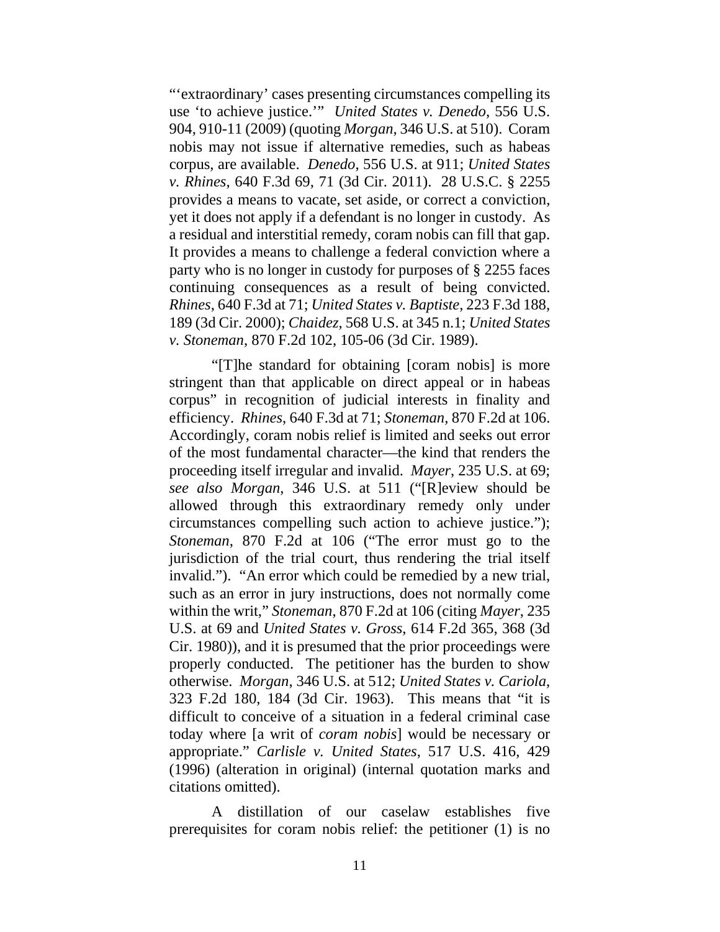"'extraordinary' cases presenting circumstances compelling its use 'to achieve justice.'" *United States v. Denedo*, 556 U.S. 904, 910-11 (2009) (quoting *Morgan*, 346 U.S. at 510). Coram nobis may not issue if alternative remedies, such as habeas corpus, are available. *Denedo*, 556 U.S. at 911; *United States v. Rhines*, 640 F.3d 69, 71 (3d Cir. 2011). 28 U.S.C. § 2255 provides a means to vacate, set aside, or correct a conviction, yet it does not apply if a defendant is no longer in custody. As a residual and interstitial remedy, coram nobis can fill that gap. It provides a means to challenge a federal conviction where a party who is no longer in custody for purposes of § 2255 faces continuing consequences as a result of being convicted. *Rhines*, 640 F.3d at 71; *United States v. Baptiste*, 223 F.3d 188, 189 (3d Cir. 2000); *Chaidez*, 568 U.S. at 345 n.1; *United States v. Stoneman*, 870 F.2d 102, 105-06 (3d Cir. 1989).

"[T]he standard for obtaining [coram nobis] is more stringent than that applicable on direct appeal or in habeas corpus" in recognition of judicial interests in finality and efficiency. *Rhines*, 640 F.3d at 71; *Stoneman*, 870 F.2d at 106. Accordingly, coram nobis relief is limited and seeks out error of the most fundamental character—the kind that renders the proceeding itself irregular and invalid. *Mayer*, 235 U.S. at 69; *see also Morgan*, 346 U.S. at 511 ("[R]eview should be allowed through this extraordinary remedy only under circumstances compelling such action to achieve justice."); *Stoneman*, 870 F.2d at 106 ("The error must go to the jurisdiction of the trial court, thus rendering the trial itself invalid."). "An error which could be remedied by a new trial, such as an error in jury instructions, does not normally come within the writ," *Stoneman*, 870 F.2d at 106 (citing *Mayer*, 235 U.S. at 69 and *United States v. Gross*, 614 F.2d 365, 368 (3d Cir. 1980)), and it is presumed that the prior proceedings were properly conducted. The petitioner has the burden to show otherwise. *Morgan*, 346 U.S. at 512; *United States v. Cariola*, 323 F.2d 180, 184 (3d Cir. 1963). This means that "it is difficult to conceive of a situation in a federal criminal case today where [a writ of *coram nobis*] would be necessary or appropriate." *Carlisle v. United States*, 517 U.S. 416, 429 (1996) (alteration in original) (internal quotation marks and citations omitted).

A distillation of our caselaw establishes five prerequisites for coram nobis relief: the petitioner (1) is no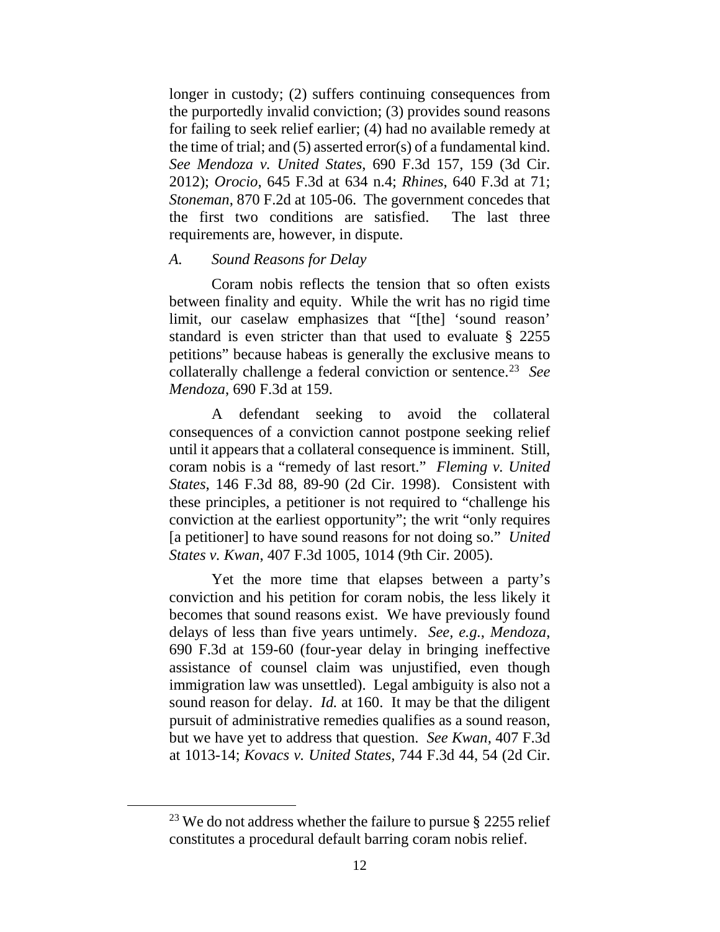longer in custody; (2) suffers continuing consequences from the purportedly invalid conviction; (3) provides sound reasons for failing to seek relief earlier; (4) had no available remedy at the time of trial; and (5) asserted error(s) of a fundamental kind. *See Mendoza v. United States*, 690 F.3d 157, 159 (3d Cir. 2012); *Orocio*, 645 F.3d at 634 n.4; *Rhines*, 640 F.3d at 71; *Stoneman*, 870 F.2d at 105-06. The government concedes that the first two conditions are satisfied. The last three requirements are, however, in dispute.

#### *A. Sound Reasons for Delay*

Coram nobis reflects the tension that so often exists between finality and equity. While the writ has no rigid time limit, our caselaw emphasizes that "[the] 'sound reason' standard is even stricter than that used to evaluate § 2255 petitions" because habeas is generally the exclusive means to collaterally challenge a federal conviction or sentence.23 *See Mendoza*, 690 F.3d at 159.

A defendant seeking to avoid the collateral consequences of a conviction cannot postpone seeking relief until it appears that a collateral consequence is imminent. Still, coram nobis is a "remedy of last resort." *Fleming v. United States*, 146 F.3d 88, 89-90 (2d Cir. 1998). Consistent with these principles, a petitioner is not required to "challenge his conviction at the earliest opportunity"; the writ "only requires [a petitioner] to have sound reasons for not doing so." *United States v. Kwan*, 407 F.3d 1005, 1014 (9th Cir. 2005).

Yet the more time that elapses between a party's conviction and his petition for coram nobis, the less likely it becomes that sound reasons exist. We have previously found delays of less than five years untimely. *See, e.g.*, *Mendoza*, 690 F.3d at 159-60 (four-year delay in bringing ineffective assistance of counsel claim was unjustified, even though immigration law was unsettled). Legal ambiguity is also not a sound reason for delay. *Id.* at 160. It may be that the diligent pursuit of administrative remedies qualifies as a sound reason, but we have yet to address that question. *See Kwan*, 407 F.3d at 1013-14; *Kovacs v. United States*, 744 F.3d 44, 54 (2d Cir.

<sup>&</sup>lt;sup>23</sup> We do not address whether the failure to pursue  $\S$  2255 relief constitutes a procedural default barring coram nobis relief.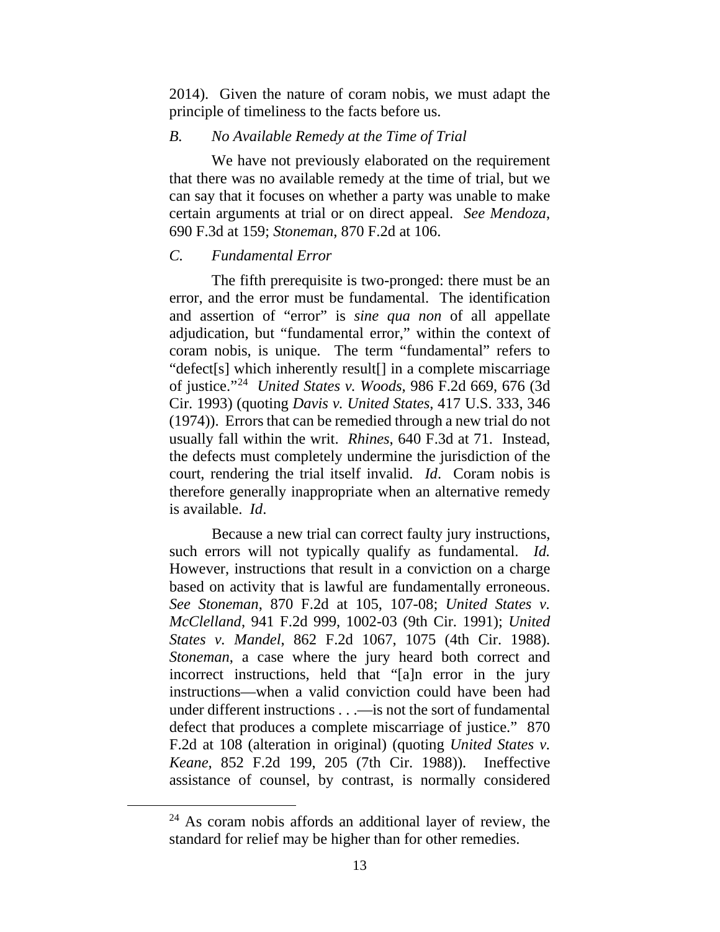2014). Given the nature of coram nobis, we must adapt the principle of timeliness to the facts before us.

## *B. No Available Remedy at the Time of Trial*

We have not previously elaborated on the requirement that there was no available remedy at the time of trial, but we can say that it focuses on whether a party was unable to make certain arguments at trial or on direct appeal. *See Mendoza*, 690 F.3d at 159; *Stoneman*, 870 F.2d at 106.

#### *C. Fundamental Error*

The fifth prerequisite is two-pronged: there must be an error, and the error must be fundamental. The identification and assertion of "error" is *sine qua non* of all appellate adjudication, but "fundamental error," within the context of coram nobis, is unique. The term "fundamental" refers to "defect[s] which inherently result[] in a complete miscarriage of justice."24 *United States v. Woods*, 986 F.2d 669, 676 (3d Cir. 1993) (quoting *Davis v. United States*, 417 U.S. 333, 346 (1974)). Errors that can be remedied through a new trial do not usually fall within the writ. *Rhines*, 640 F.3d at 71. Instead, the defects must completely undermine the jurisdiction of the court, rendering the trial itself invalid. *Id*. Coram nobis is therefore generally inappropriate when an alternative remedy is available. *Id*.

Because a new trial can correct faulty jury instructions, such errors will not typically qualify as fundamental. *Id.* However, instructions that result in a conviction on a charge based on activity that is lawful are fundamentally erroneous. *See Stoneman*, 870 F.2d at 105, 107-08; *United States v. McClelland*, 941 F.2d 999, 1002-03 (9th Cir. 1991); *United States v. Mandel*, 862 F.2d 1067, 1075 (4th Cir. 1988). *Stoneman*, a case where the jury heard both correct and incorrect instructions, held that "[a]n error in the jury instructions—when a valid conviction could have been had under different instructions . . .—is not the sort of fundamental defect that produces a complete miscarriage of justice." 870 F.2d at 108 (alteration in original) (quoting *United States v. Keane*, 852 F.2d 199, 205 (7th Cir. 1988)). Ineffective assistance of counsel, by contrast, is normally considered

<sup>&</sup>lt;sup>24</sup> As coram nobis affords an additional layer of review, the standard for relief may be higher than for other remedies.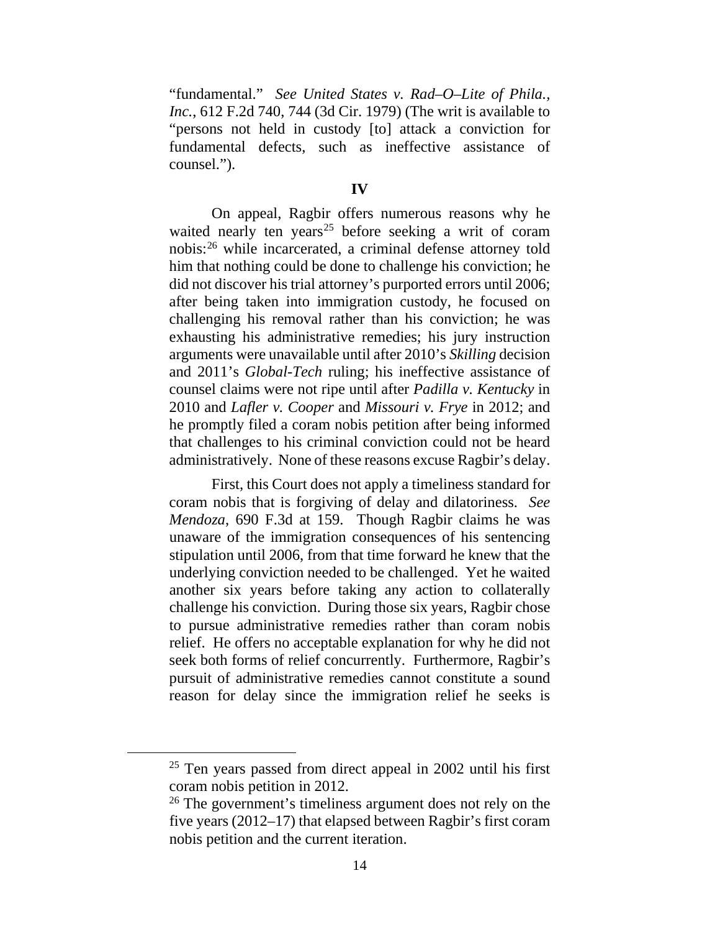"fundamental." *See United States v. Rad–O–Lite of Phila., Inc.*, 612 F.2d 740, 744 (3d Cir. 1979) (The writ is available to "persons not held in custody [to] attack a conviction for fundamental defects, such as ineffective assistance of counsel.").

#### **IV**

On appeal, Ragbir offers numerous reasons why he waited nearly ten years<sup>[25](#page-14-0)</sup> before seeking a writ of coram nobis: [26](#page-14-1) while incarcerated, a criminal defense attorney told him that nothing could be done to challenge his conviction; he did not discover his trial attorney's purported errors until 2006; after being taken into immigration custody, he focused on challenging his removal rather than his conviction; he was exhausting his administrative remedies; his jury instruction arguments were unavailable until after 2010's *Skilling* decision and 2011's *Global-Tech* ruling; his ineffective assistance of counsel claims were not ripe until after *Padilla v. Kentucky* in 2010 and *Lafler v. Cooper* and *Missouri v. Frye* in 2012; and he promptly filed a coram nobis petition after being informed that challenges to his criminal conviction could not be heard administratively. None of these reasons excuse Ragbir's delay.

First, this Court does not apply a timeliness standard for coram nobis that is forgiving of delay and dilatoriness. *See Mendoza*, 690 F.3d at 159. Though Ragbir claims he was unaware of the immigration consequences of his sentencing stipulation until 2006, from that time forward he knew that the underlying conviction needed to be challenged. Yet he waited another six years before taking any action to collaterally challenge his conviction. During those six years, Ragbir chose to pursue administrative remedies rather than coram nobis relief. He offers no acceptable explanation for why he did not seek both forms of relief concurrently. Furthermore, Ragbir's pursuit of administrative remedies cannot constitute a sound reason for delay since the immigration relief he seeks is

<span id="page-14-0"></span> $25$  Ten years passed from direct appeal in 2002 until his first coram nobis petition in 2012.

<span id="page-14-1"></span><sup>&</sup>lt;sup>26</sup> The government's timeliness argument does not rely on the five years (2012–17) that elapsed between Ragbir's first coram nobis petition and the current iteration.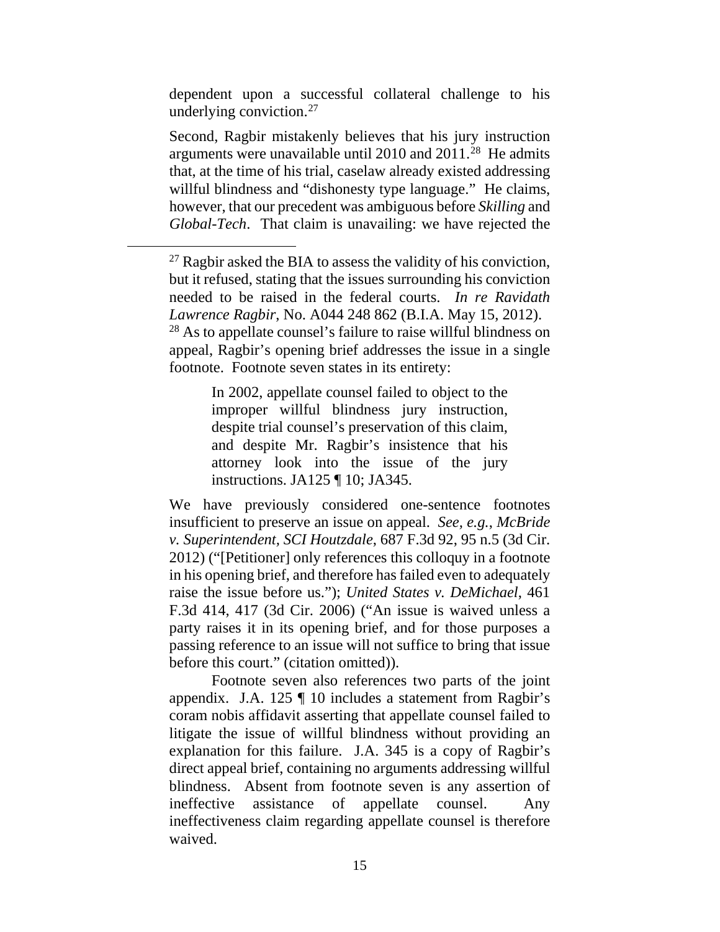dependent upon a successful collateral challenge to his underlying conviction.<sup>[27](#page-15-0)</sup>

Second, Ragbir mistakenly believes that his jury instruction arguments were unavailable until 2010 and  $2011$ .<sup>[28](#page-15-1)</sup> He admits that, at the time of his trial, caselaw already existed addressing willful blindness and "dishonesty type language." He claims, however, that our precedent was ambiguous before *Skilling* and *Global-Tech*. That claim is unavailing: we have rejected the

In 2002, appellate counsel failed to object to the improper willful blindness jury instruction, despite trial counsel's preservation of this claim, and despite Mr. Ragbir's insistence that his attorney look into the issue of the jury instructions. JA125 ¶ 10; JA345.

We have previously considered one-sentence footnotes insufficient to preserve an issue on appeal. *See, e.g.*, *McBride v. Superintendent, SCI Houtzdale*, 687 F.3d 92, 95 n.5 (3d Cir. 2012) ("[Petitioner] only references this colloquy in a footnote in his opening brief, and therefore has failed even to adequately raise the issue before us."); *United States v. DeMichael*, 461 F.3d 414, 417 (3d Cir. 2006) ("An issue is waived unless a party raises it in its opening brief, and for those purposes a passing reference to an issue will not suffice to bring that issue before this court." (citation omitted)).

Footnote seven also references two parts of the joint appendix. J.A. 125 ¶ 10 includes a statement from Ragbir's coram nobis affidavit asserting that appellate counsel failed to litigate the issue of willful blindness without providing an explanation for this failure. J.A. 345 is a copy of Ragbir's direct appeal brief, containing no arguments addressing willful blindness. Absent from footnote seven is any assertion of ineffective assistance of appellate counsel. Any ineffectiveness claim regarding appellate counsel is therefore waived.

<span id="page-15-1"></span><span id="page-15-0"></span> $^{27}$  Ragbir asked the BIA to assess the validity of his conviction, but it refused, stating that the issues surrounding his conviction needed to be raised in the federal courts. *In re Ravidath Lawrence Ragbir*, No. A044 248 862 (B.I.A. May 15, 2012).  $^{28}$  As to appellate counsel's failure to raise willful blindness on appeal, Ragbir's opening brief addresses the issue in a single footnote. Footnote seven states in its entirety: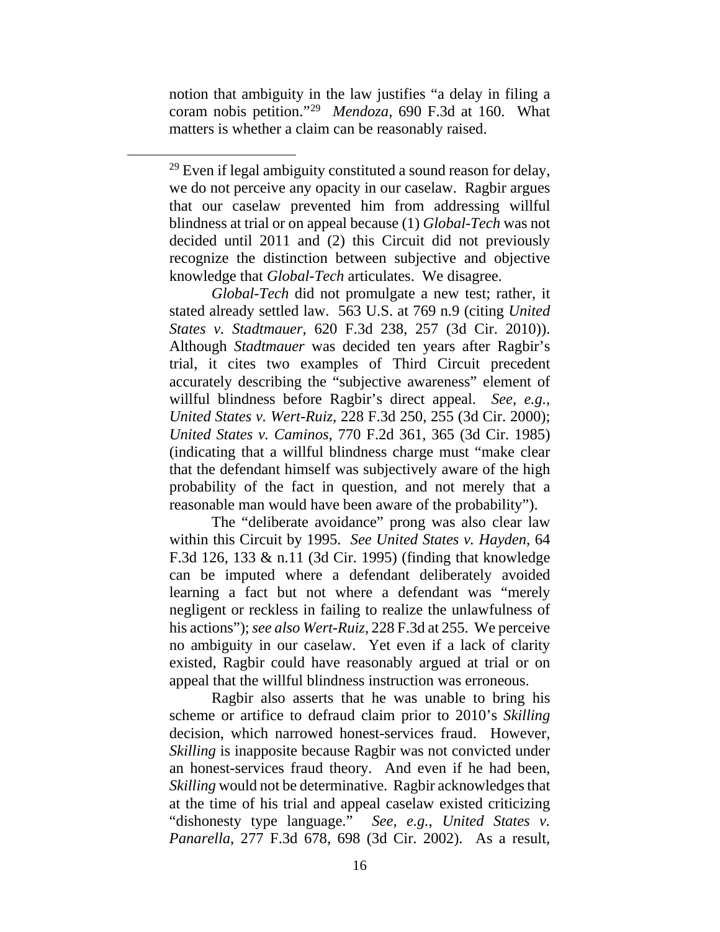notion that ambiguity in the law justifies "a delay in filing a coram nobis petition."[29](#page-16-0) *Mendoza*, 690 F.3d at 160. What matters is whether a claim can be reasonably raised.

<span id="page-16-0"></span> $^{29}$  Even if legal ambiguity constituted a sound reason for delay, we do not perceive any opacity in our caselaw. Ragbir argues that our caselaw prevented him from addressing willful blindness at trial or on appeal because (1) *Global-Tech* was not decided until 2011 and (2) this Circuit did not previously recognize the distinction between subjective and objective knowledge that *Global-Tech* articulates. We disagree.

*Global-Tech* did not promulgate a new test; rather, it stated already settled law. 563 U.S. at 769 n.9 (citing *United States v. Stadtmauer*, 620 F.3d 238, 257 (3d Cir. 2010)). Although *Stadtmauer* was decided ten years after Ragbir's trial, it cites two examples of Third Circuit precedent accurately describing the "subjective awareness" element of willful blindness before Ragbir's direct appeal. *See, e.g.*, *United States v. Wert-Ruiz*, 228 F.3d 250, 255 (3d Cir. 2000); *United States v. Caminos*, 770 F.2d 361, 365 (3d Cir. 1985) (indicating that a willful blindness charge must "make clear that the defendant himself was subjectively aware of the high probability of the fact in question, and not merely that a reasonable man would have been aware of the probability").

The "deliberate avoidance" prong was also clear law within this Circuit by 1995. *See United States v. Hayden*, 64 F.3d 126, 133 & n.11 (3d Cir. 1995) (finding that knowledge can be imputed where a defendant deliberately avoided learning a fact but not where a defendant was "merely negligent or reckless in failing to realize the unlawfulness of his actions"); *see also Wert-Ruiz*, 228 F.3d at 255. We perceive no ambiguity in our caselaw. Yet even if a lack of clarity existed, Ragbir could have reasonably argued at trial or on appeal that the willful blindness instruction was erroneous.

Ragbir also asserts that he was unable to bring his scheme or artifice to defraud claim prior to 2010's *Skilling* decision, which narrowed honest-services fraud. However, *Skilling* is inapposite because Ragbir was not convicted under an honest-services fraud theory. And even if he had been, *Skilling* would not be determinative. Ragbir acknowledges that at the time of his trial and appeal caselaw existed criticizing "dishonesty type language." *See, e.g.*, *United States v. Panarella*, 277 F.3d 678, 698 (3d Cir. 2002). As a result,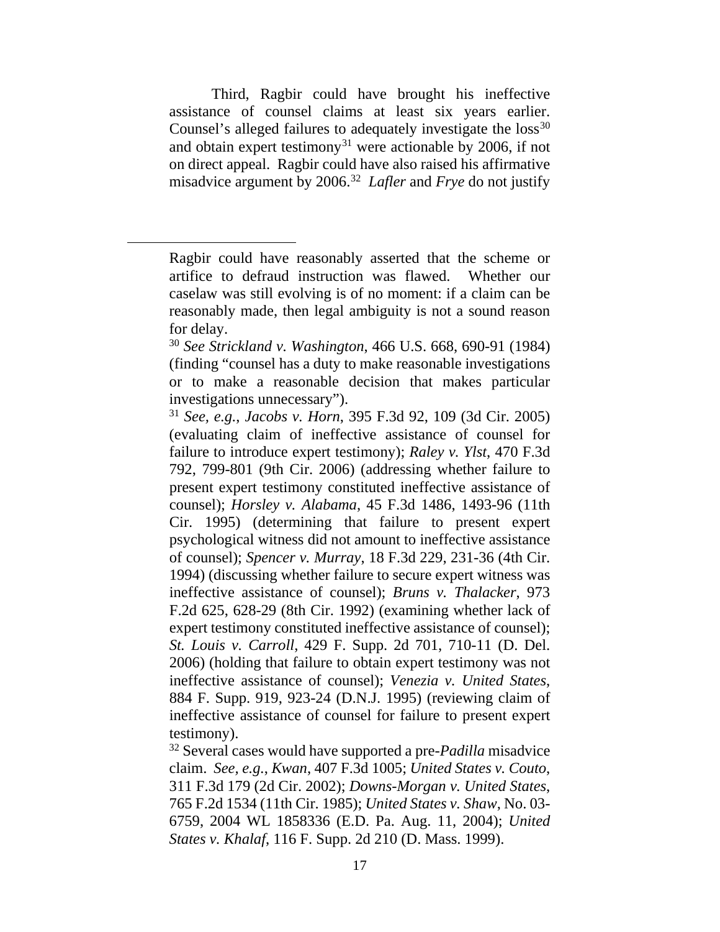Third, Ragbir could have brought his ineffective assistance of counsel claims at least six years earlier. Counsel's alleged failures to adequately investigate the  $loss^{30}$  $loss^{30}$  $loss^{30}$ and obtain expert testimony<sup>[31](#page-17-1)</sup> were actionable by 2006, if not on direct appeal. Ragbir could have also raised his affirmative misadvice argument by 2006. [32](#page-17-2) *Lafler* and *Frye* do not justify

<span id="page-17-0"></span> $\overline{a}$ 

Ragbir could have reasonably asserted that the scheme or artifice to defraud instruction was flawed. Whether our caselaw was still evolving is of no moment: if a claim can be reasonably made, then legal ambiguity is not a sound reason for delay.

<sup>30</sup> *See Strickland v. Washington*, 466 U.S. 668, 690-91 (1984) (finding "counsel has a duty to make reasonable investigations or to make a reasonable decision that makes particular investigations unnecessary").

<span id="page-17-1"></span><sup>31</sup> *See, e.g.*, *Jacobs v. Horn*, 395 F.3d 92, 109 (3d Cir. 2005) (evaluating claim of ineffective assistance of counsel for failure to introduce expert testimony); *Raley v. Ylst*, 470 F.3d 792, 799-801 (9th Cir. 2006) (addressing whether failure to present expert testimony constituted ineffective assistance of counsel); *Horsley v. Alabama*, 45 F.3d 1486, 1493-96 (11th Cir. 1995) (determining that failure to present expert psychological witness did not amount to ineffective assistance of counsel); *Spencer v. Murray*, 18 F.3d 229, 231-36 (4th Cir. 1994) (discussing whether failure to secure expert witness was ineffective assistance of counsel); *Bruns v. Thalacker*, 973 F.2d 625, 628-29 (8th Cir. 1992) (examining whether lack of expert testimony constituted ineffective assistance of counsel); *St. Louis v. Carroll*, 429 F. Supp. 2d 701, 710-11 (D. Del. 2006) (holding that failure to obtain expert testimony was not ineffective assistance of counsel); *Venezia v. United States*, 884 F. Supp. 919, 923-24 (D.N.J. 1995) (reviewing claim of ineffective assistance of counsel for failure to present expert testimony).

<span id="page-17-2"></span><sup>32</sup> Several cases would have supported a pre-*Padilla* misadvice claim. *See, e.g.*, *Kwan*, 407 F.3d 1005; *United States v. Couto*, 311 F.3d 179 (2d Cir. 2002); *Downs-Morgan v. United States*, 765 F.2d 1534 (11th Cir. 1985); *United States v. Shaw*, No. 03- 6759, 2004 WL 1858336 (E.D. Pa. Aug. 11, 2004); *United States v. Khalaf*, 116 F. Supp. 2d 210 (D. Mass. 1999).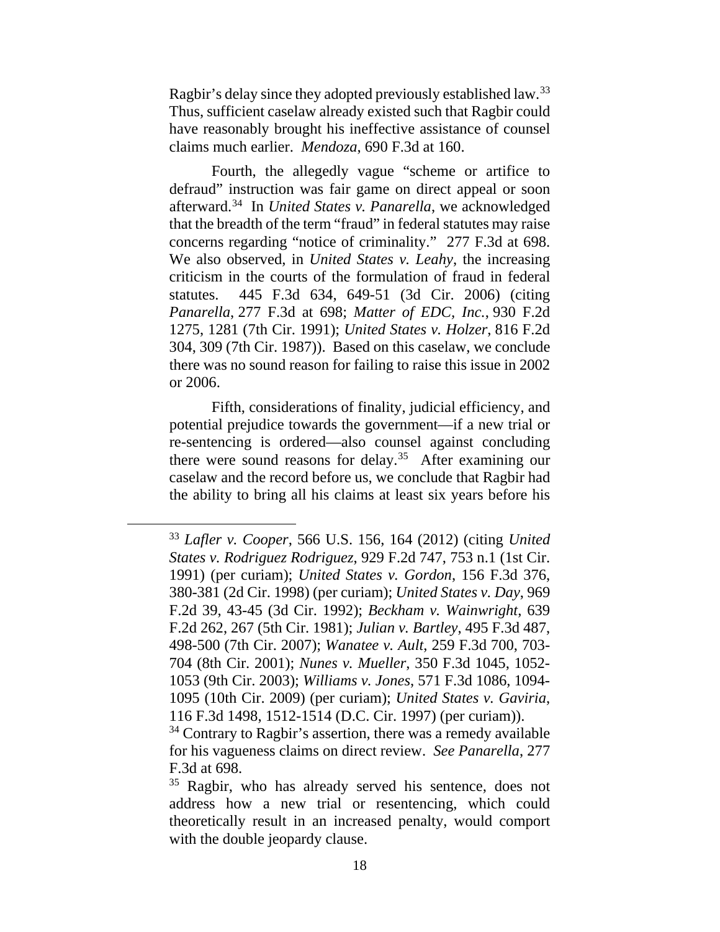Ragbir's delay since they adopted previously established law.<sup>[33](#page-18-0)</sup> Thus, sufficient caselaw already existed such that Ragbir could have reasonably brought his ineffective assistance of counsel claims much earlier. *Mendoza*, 690 F.3d at 160.

Fourth, the allegedly vague "scheme or artifice to defraud" instruction was fair game on direct appeal or soon afterward. [34](#page-18-1) In *United States v. Panarella*, we acknowledged that the breadth of the term "fraud" in federal statutes may raise concerns regarding "notice of criminality." 277 F.3d at 698. We also observed, in *United States v. Leahy*, the increasing criticism in the courts of the formulation of fraud in federal statutes. 445 F.3d 634, 649-51 (3d Cir. 2006) (citing *Panarella*, 277 F.3d at 698; *Matter of EDC, Inc.*, 930 F.2d 1275, 1281 (7th Cir. 1991); *United States v. Holzer*, 816 F.2d 304, 309 (7th Cir. 1987)). Based on this caselaw, we conclude there was no sound reason for failing to raise this issue in 2002 or 2006.

Fifth, considerations of finality, judicial efficiency, and potential prejudice towards the government—if a new trial or re-sentencing is ordered—also counsel against concluding there were sound reasons for delay.[35](#page-18-2) After examining our caselaw and the record before us, we conclude that Ragbir had the ability to bring all his claims at least six years before his

<span id="page-18-0"></span> <sup>33</sup> *Lafler v. Cooper*, 566 U.S. 156, <sup>164</sup> (2012) (citing *United States v. Rodriguez Rodriguez*, 929 F.2d 747, 753 n.1 (1st Cir. 1991) (per curiam); *United States v. Gordon*, 156 F.3d 376, 380-381 (2d Cir. 1998) (per curiam); *United States v. Day*, 969 F.2d 39, 43-45 (3d Cir. 1992); *Beckham v. Wainwright*, 639 F.2d 262, 267 (5th Cir. 1981); *Julian v. Bartley*, 495 F.3d 487, 498-500 (7th Cir. 2007); *Wanatee v. Ault*, 259 F.3d 700, 703- 704 (8th Cir. 2001); *Nunes v. Mueller*, 350 F.3d 1045, 1052- 1053 (9th Cir. 2003); *Williams v. Jones*, 571 F.3d 1086, 1094- 1095 (10th Cir. 2009) (per curiam); *United States v. Gaviria*, 116 F.3d 1498, 1512-1514 (D.C. Cir. 1997) (per curiam)).

<span id="page-18-1"></span> $34$  Contrary to Ragbir's assertion, there was a remedy available for his vagueness claims on direct review. *See Panarella*, 277 F.3d at 698.

<span id="page-18-2"></span><sup>35</sup> Ragbir, who has already served his sentence, does not address how a new trial or resentencing, which could theoretically result in an increased penalty, would comport with the double jeopardy clause.